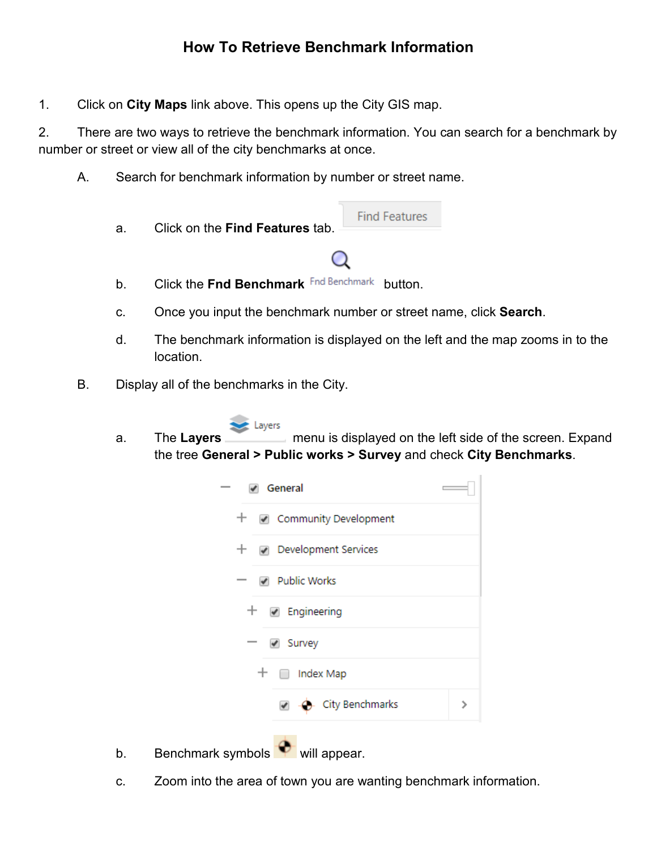1. Click on **City Maps** link above. This opens up the City GIS map.

2. There are two ways to retrieve the benchmark information. You can search for a benchmark by number or street or view all of the city benchmarks at once.

- A. Search for benchmark information by number or street name.
	- **Find Features** a. Click on the **Find Features** tab. b. Click the **Fnd Benchmark** button.
	- c. Once you input the benchmark number or street name, click **Search**.
	- d. The benchmark information is displayed on the left and the map zooms in to the location.
- B. Display all of the benchmarks in the City.
	- Layers
	- a. The **Layers** menu is displayed on the left side of the screen. Expand the tree **General > Public works > Survey** and check **City Benchmarks**.

| General                                  |   |
|------------------------------------------|---|
| $+$ $\sqrt{ }$ Community Development     |   |
| + <sub>o</sub> Development Services      |   |
| Public Works<br>$\overline{\phantom{a}}$ |   |
| $+$ $\infty$ Engineering                 |   |
| ✔ Survey<br>$\qquad \qquad$              |   |
| $+$ $\Box$ Index Map                     |   |
| - City Benchmarks<br>✔                   | ⋟ |
|                                          |   |

- b. Benchmark symbols  $\blacksquare$  will appear.
- c. Zoom into the area of town you are wanting benchmark information.